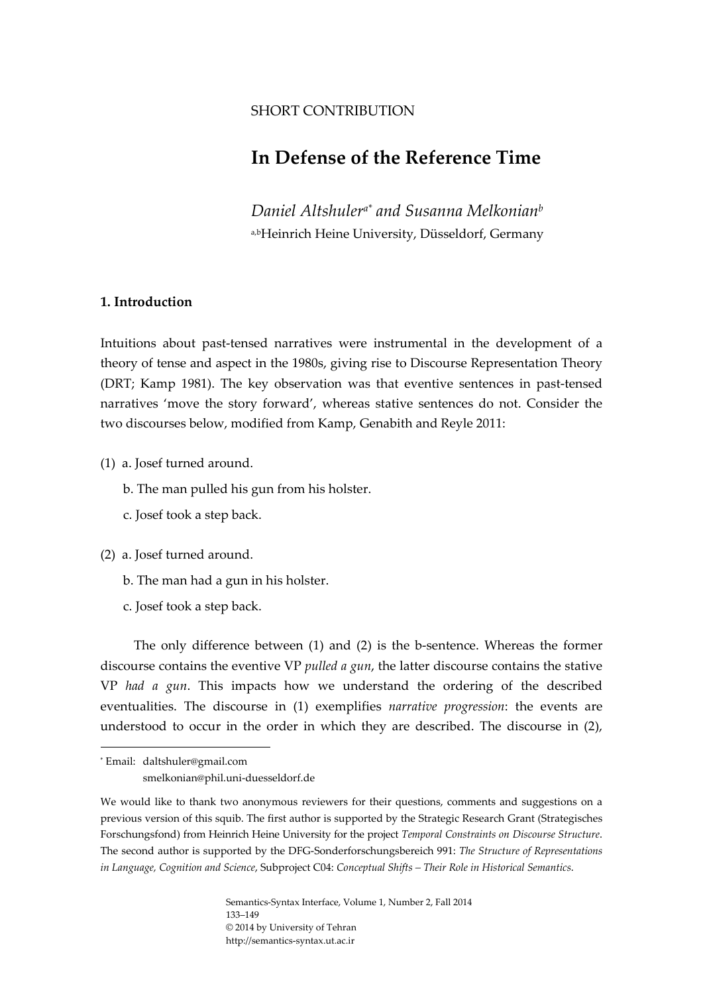# SHORT CONTRIBUTION

# **In Defense of the Reference Time**

*Daniel Altshulera\* and Susanna Melkonianb* a,bHeinrich Heine University, Düsseldorf, Germany

# **1. Introduction**

Intuitions about past-tensed narratives were instrumental in the development of a theory of tense and aspect in the 1980s, giving rise to Discourse Representation Theory (DRT; Kamp 1981). The key observation was that eventive sentences in past-tensed narratives 'move the story forward', whereas stative sentences do not. Consider the two discourses below, modified from Kamp, Genabith and Reyle 2011:

(1) a. Josef turned around.

b. The man pulled his gun from his holster.

c. Josef took a step back.

(2) a. Josef turned around.

- b. The man had a gun in his holster.
- c. Josef took a step back.

The only difference between  $(1)$  and  $(2)$  is the b-sentence. Whereas the former discourse contains the eventive VP *pulled a gun*, the latter discourse contains the stative VP *had a gun*. This impacts how we understand the ordering of the described eventualities. The discourse in (1) exemplifies *narrative progression*: the events are understood to occur in the order in which they are described. The discourse in (2),

<sup>\*</sup> Email: daltshuler@gmail.com smelkonian@phil.uni‐duesseldorf.de

We would like to thank two anonymous reviewers for their questions, comments and suggestions on a previous version of this squib. The first author is supported by the Strategic Research Grant (Strategisches Forschungsfond) from Heinrich Heine University for the project *Temporal Constraints on Discourse Structure*. The second author is supported by the DFG‐Sonderforschungsbereich 991: *The Structure of Representations in Language, Cognition and Science*, Subproject C04: *Conceptual Shifts – Their Role in Historical Semantics*.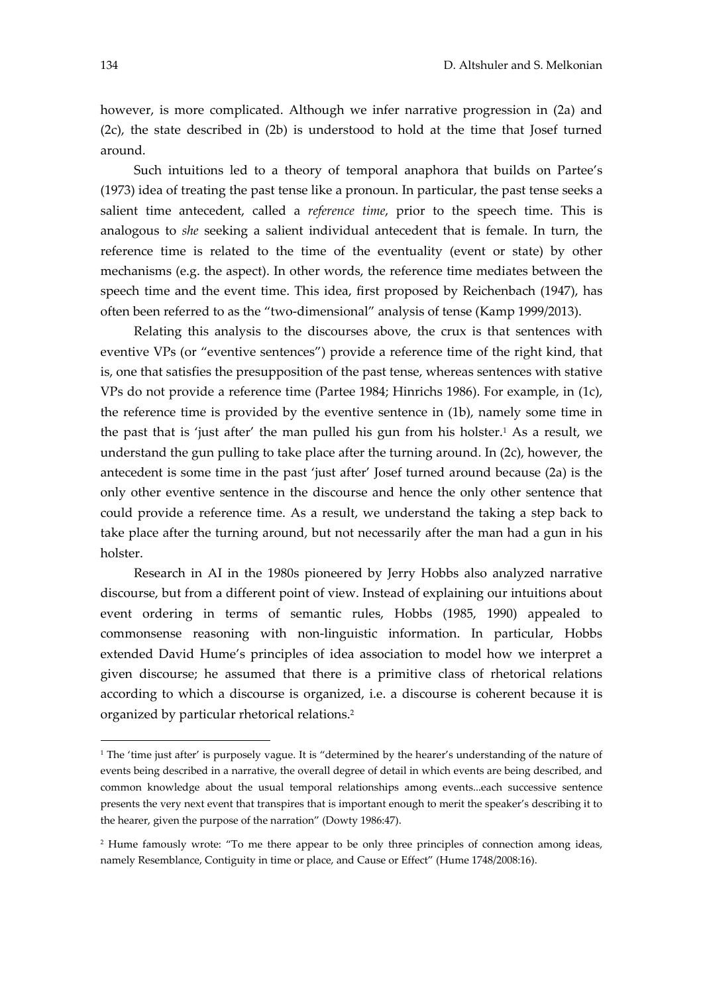however, is more complicated. Although we infer narrative progression in (2a) and (2c), the state described in (2b) is understood to hold at the time that Josef turned around.

Such intuitions led to a theory of temporal anaphora that builds on Partee's (1973) idea of treating the past tense like a pronoun. In particular, the past tense seeks a salient time antecedent, called a *reference time*, prior to the speech time. This is analogous to *she* seeking a salient individual antecedent that is female. In turn, the reference time is related to the time of the eventuality (event or state) by other mechanisms (e.g. the aspect). In other words, the reference time mediates between the speech time and the event time. This idea, first proposed by Reichenbach (1947), has often been referred to as the "two-dimensional" analysis of tense (Kamp 1999/2013).

Relating this analysis to the discourses above, the crux is that sentences with eventive VPs (or "eventive sentences") provide a reference time of the right kind, that is, one that satisfies the presupposition of the past tense, whereas sentences with stative VPs do not provide a reference time (Partee 1984; Hinrichs 1986). For example, in (1c), the reference time is provided by the eventive sentence in (1b), namely some time in the past that is 'just after' the man pulled his gun from his holster.<sup>1</sup> As a result, we understand the gun pulling to take place after the turning around. In (2c), however, the antecedent is some time in the past 'just after' Josef turned around because (2a) is the only other eventive sentence in the discourse and hence the only other sentence that could provide a reference time. As a result, we understand the taking a step back to take place after the turning around, but not necessarily after the man had a gun in his holster.

Research in AI in the 1980s pioneered by Jerry Hobbs also analyzed narrative discourse, but from a different point of view. Instead of explaining our intuitions about event ordering in terms of semantic rules, Hobbs (1985, 1990) appealed to commonsense reasoning with non‐linguistic information. In particular, Hobbs extended David Hume's principles of idea association to model how we interpret a given discourse; he assumed that there is a primitive class of rhetorical relations according to which a discourse is organized, i.e. a discourse is coherent because it is organized by particular rhetorical relations.2

<sup>&</sup>lt;sup>1</sup> The 'time just after' is purposely vague. It is "determined by the hearer's understanding of the nature of events being described in a narrative, the overall degree of detail in which events are being described, and common knowledge about the usual temporal relationships among events...each successive sentence presents the very next event that transpires that is important enough to merit the speaker's describing it to the hearer, given the purpose of the narration" (Dowty 1986:47).

<sup>2</sup> Hume famously wrote: "To me there appear to be only three principles of connection among ideas, namely Resemblance, Contiguity in time or place, and Cause or Effect" (Hume 1748/2008:16).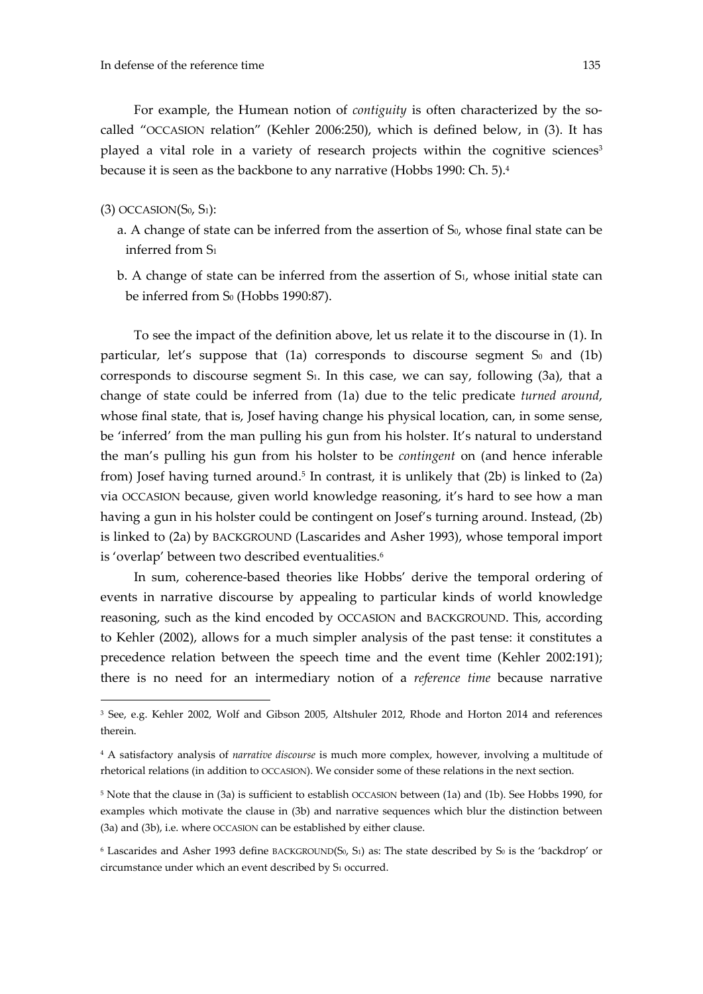For example, the Humean notion of *contiguity* is often characterized by the socalled "OCCASION relation" (Kehler 2006:250), which is defined below, in (3). It has played a vital role in a variety of research projects within the cognitive sciences<sup>3</sup> because it is seen as the backbone to any narrative (Hobbs 1990: Ch. 5).4

## $(3)$  OCCASION $(S_0, S_1)$ :

<u>.</u>

- a. A change of state can be inferred from the assertion of  $S_0$ , whose final state can be inferred from S1
- b. A change of state can be inferred from the assertion of S<sub>1</sub>, whose initial state can be inferred from S<sub>0</sub> (Hobbs 1990:87).

To see the impact of the definition above, let us relate it to the discourse in (1). In particular, let's suppose that  $(1a)$  corresponds to discourse segment  $S_0$  and  $(1b)$ corresponds to discourse segment S<sub>1</sub>. In this case, we can say, following (3a), that a change of state could be inferred from (1a) due to the telic predicate *turned around*, whose final state, that is, Josef having change his physical location, can, in some sense, be 'inferred' from the man pulling his gun from his holster. It's natural to understand the man's pulling his gun from his holster to be *contingent* on (and hence inferable from) Josef having turned around.<sup>5</sup> In contrast, it is unlikely that  $(2b)$  is linked to  $(2a)$ via OCCASION because, given world knowledge reasoning, it's hard to see how a man having a gun in his holster could be contingent on Josef's turning around. Instead, (2b) is linked to (2a) by BACKGROUND (Lascarides and Asher 1993), whose temporal import is 'overlap' between two described eventualities.<sup>6</sup>

In sum, coherence-based theories like Hobbs' derive the temporal ordering of events in narrative discourse by appealing to particular kinds of world knowledge reasoning, such as the kind encoded by OCCASION and BACKGROUND. This, according to Kehler (2002), allows for a much simpler analysis of the past tense: it constitutes a precedence relation between the speech time and the event time (Kehler 2002:191); there is no need for an intermediary notion of a *reference time* because narrative

<sup>&</sup>lt;sup>3</sup> See, e.g. Kehler 2002, Wolf and Gibson 2005, Altshuler 2012, Rhode and Horton 2014 and references therein.

<sup>4</sup> A satisfactory analysis of *narrative discourse* is much more complex, however, involving a multitude of rhetorical relations (in addition to OCCASION). We consider some of these relations in the next section.

<sup>5</sup> Note that the clause in (3a) is sufficient to establish OCCASION between (1a) and (1b). See Hobbs 1990, for examples which motivate the clause in (3b) and narrative sequences which blur the distinction between (3a) and (3b), i.e. where OCCASION can be established by either clause.

 $6$  Lascarides and Asher 1993 define BACKGROUND(S<sub>0</sub>, S<sub>1</sub>) as: The state described by S<sub>0</sub> is the 'backdrop' or circumstance under which an event described by S1 occurred.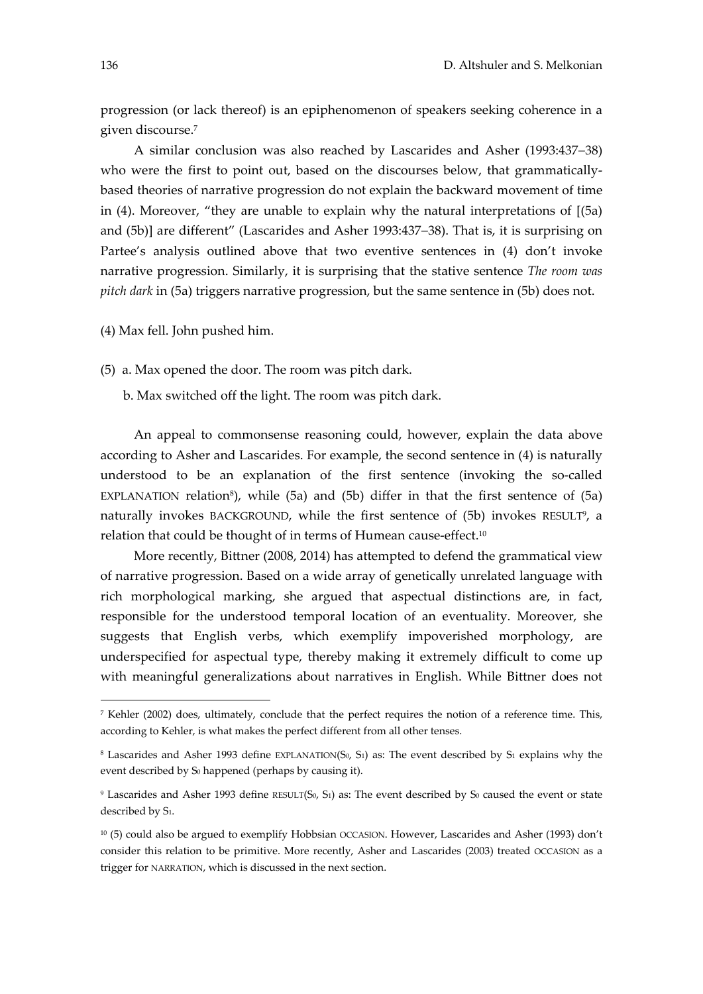progression (or lack thereof) is an epiphenomenon of speakers seeking coherence in a given discourse.7

A similar conclusion was also reached by Lascarides and Asher (1993:437-38) who were the first to point out, based on the discourses below, that grammaticallybased theories of narrative progression do not explain the backward movement of time in  $(4)$ . Moreover, "they are unable to explain why the natural interpretations of  $(5a)$ and (5b)] are different" (Lascarides and Asher 1993:437-38). That is, it is surprising on Partee's analysis outlined above that two eventive sentences in (4) don't invoke narrative progression. Similarly, it is surprising that the stative sentence *The room was pitch dark* in (5a) triggers narrative progression, but the same sentence in (5b) does not.

(4) Max fell. John pushed him.

(5) a. Max opened the door. The room was pitch dark.

b. Max switched off the light. The room was pitch dark.

An appeal to commonsense reasoning could, however, explain the data above according to Asher and Lascarides. For example, the second sentence in (4) is naturally understood to be an explanation of the first sentence (invoking the so-called EXPLANATION relation<sup>8</sup>), while (5a) and (5b) differ in that the first sentence of (5a) naturally invokes BACKGROUND, while the first sentence of (5b) invokes RESULT<sup>9</sup>, a relation that could be thought of in terms of Humean cause-effect.<sup>10</sup>

More recently, Bittner (2008, 2014) has attempted to defend the grammatical view of narrative progression. Based on a wide array of genetically unrelated language with rich morphological marking, she argued that aspectual distinctions are, in fact, responsible for the understood temporal location of an eventuality. Moreover, she suggests that English verbs, which exemplify impoverished morphology, are underspecified for aspectual type, thereby making it extremely difficult to come up with meaningful generalizations about narratives in English. While Bittner does not

<u>.</u>

<sup>7</sup> Kehler (2002) does, ultimately, conclude that the perfect requires the notion of a reference time. This, according to Kehler, is what makes the perfect different from all other tenses.

<sup>&</sup>lt;sup>8</sup> Lascarides and Asher 1993 define EXPLANATION(S<sub>0</sub>, S<sub>1</sub>) as: The event described by S<sub>1</sub> explains why the event described by S<sub>0</sub> happened (perhaps by causing it).

 $9$  Lascarides and Asher 1993 define RESULT(S<sub>0</sub>, S<sub>1</sub>) as: The event described by S<sub>0</sub> caused the event or state described by S<sub>1</sub>.

 $10$  (5) could also be argued to exemplify Hobbsian OCCASION. However, Lascarides and Asher (1993) don't consider this relation to be primitive. More recently, Asher and Lascarides (2003) treated OCCASION as a trigger for NARRATION, which is discussed in the next section.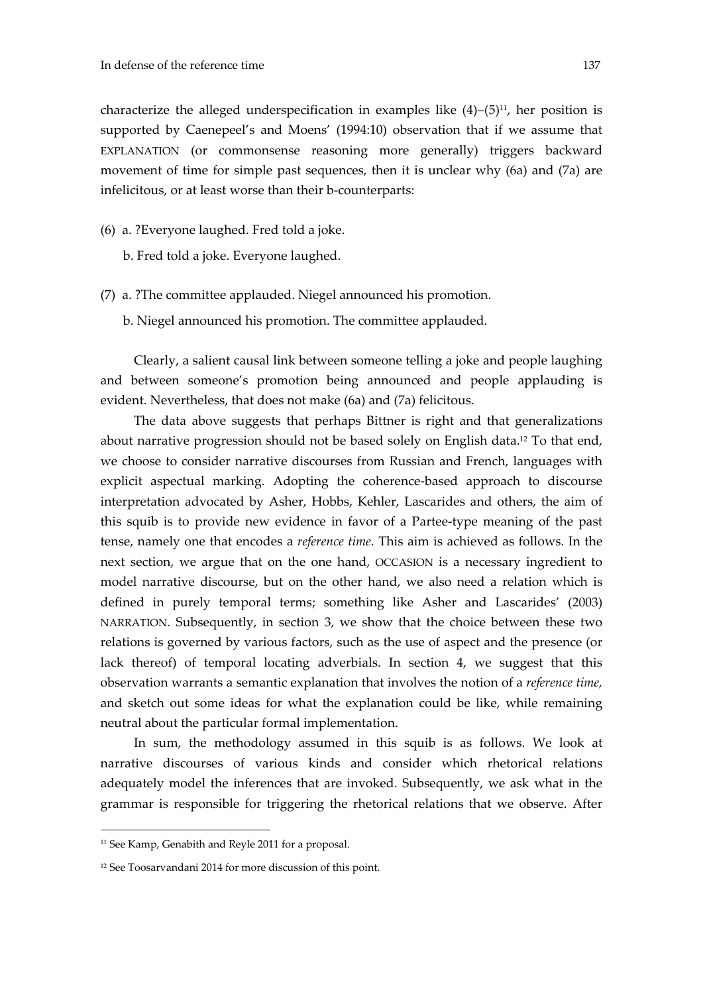characterize the alleged underspecification in examples like  $(4)-(5)^{11}$ , her position is supported by Caenepeel's and Moens' (1994:10) observation that if we assume that EXPLANATION (or commonsense reasoning more generally) triggers backward movement of time for simple past sequences, then it is unclear why (6a) and (7a) are infelicitous, or at least worse than their b-counterparts:

- (6) a. ?Everyone laughed. Fred told a joke.
	- b. Fred told a joke. Everyone laughed.
- (7) a. ?The committee applauded. Niegel announced his promotion.
	- b. Niegel announced his promotion. The committee applauded.

Clearly, a salient causal link between someone telling a joke and people laughing and between someone's promotion being announced and people applauding is evident. Nevertheless, that does not make (6a) and (7a) felicitous.

The data above suggests that perhaps Bittner is right and that generalizations about narrative progression should not be based solely on English data.12 To that end, we choose to consider narrative discourses from Russian and French, languages with explicit aspectual marking. Adopting the coherence-based approach to discourse interpretation advocated by Asher, Hobbs, Kehler, Lascarides and others, the aim of this squib is to provide new evidence in favor of a Partee‐type meaning of the past tense, namely one that encodes a *reference time*. This aim is achieved as follows. In the next section, we argue that on the one hand, OCCASION is a necessary ingredient to model narrative discourse, but on the other hand, we also need a relation which is defined in purely temporal terms; something like Asher and Lascarides' (2003) NARRATION. Subsequently, in section 3, we show that the choice between these two relations is governed by various factors, such as the use of aspect and the presence (or lack thereof) of temporal locating adverbials. In section 4, we suggest that this observation warrants a semantic explanation that involves the notion of a *reference time,* and sketch out some ideas for what the explanation could be like, while remaining neutral about the particular formal implementation.

In sum, the methodology assumed in this squib is as follows. We look at narrative discourses of various kinds and consider which rhetorical relations adequately model the inferences that are invoked. Subsequently, we ask what in the grammar is responsible for triggering the rhetorical relations that we observe. After

<sup>&</sup>lt;sup>11</sup> See Kamp, Genabith and Reyle 2011 for a proposal.

<sup>12</sup> See Toosarvandani 2014 for more discussion of this point.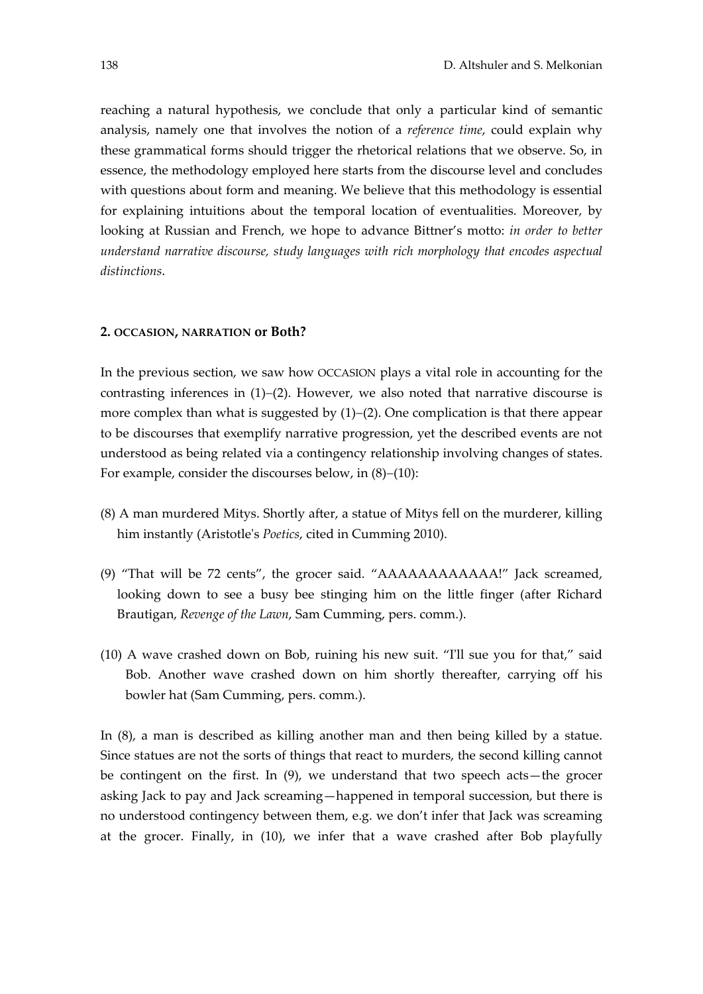reaching a natural hypothesis, we conclude that only a particular kind of semantic analysis, namely one that involves the notion of a *reference time*, could explain why these grammatical forms should trigger the rhetorical relations that we observe. So, in essence, the methodology employed here starts from the discourse level and concludes with questions about form and meaning. We believe that this methodology is essential for explaining intuitions about the temporal location of eventualities. Moreover, by looking at Russian and French, we hope to advance Bittner's motto: *in order to better understand narrative discourse, study languages with rich morphology that encodes aspectual distinctions*.

#### **2. OCCASION, NARRATION or Both?**

In the previous section, we saw how OCCASION plays a vital role in accounting for the contrasting inferences in  $(1)-(2)$ . However, we also noted that narrative discourse is more complex than what is suggested by  $(1)-(2)$ . One complication is that there appear to be discourses that exemplify narrative progression, yet the described events are not understood as being related via a contingency relationship involving changes of states. For example, consider the discourses below, in  $(8)-(10)$ :

- (8) A man murdered Mitys. Shortly after, a statue of Mitys fell on the murderer, killing him instantly (Aristotleʹs *Poetics*, cited in Cumming 2010).
- (9) "That will be 72 cents", the grocer said. "AAAAAAAAAAAA!" Jack screamed, looking down to see a busy bee stinging him on the little finger (after Richard Brautigan, *Revenge of the Lawn*, Sam Cumming, pers. comm.).
- (10) A wave crashed down on Bob, ruining his new suit. "Iʹll sue you for that," said Bob. Another wave crashed down on him shortly thereafter, carrying off his bowler hat (Sam Cumming, pers. comm.).

In (8), a man is described as killing another man and then being killed by a statue. Since statues are not the sorts of things that react to murders, the second killing cannot be contingent on the first. In (9), we understand that two speech acts—the grocer asking Jack to pay and Jack screaming—happened in temporal succession, but there is no understood contingency between them, e.g. we don't infer that Jack was screaming at the grocer. Finally, in (10), we infer that a wave crashed after Bob playfully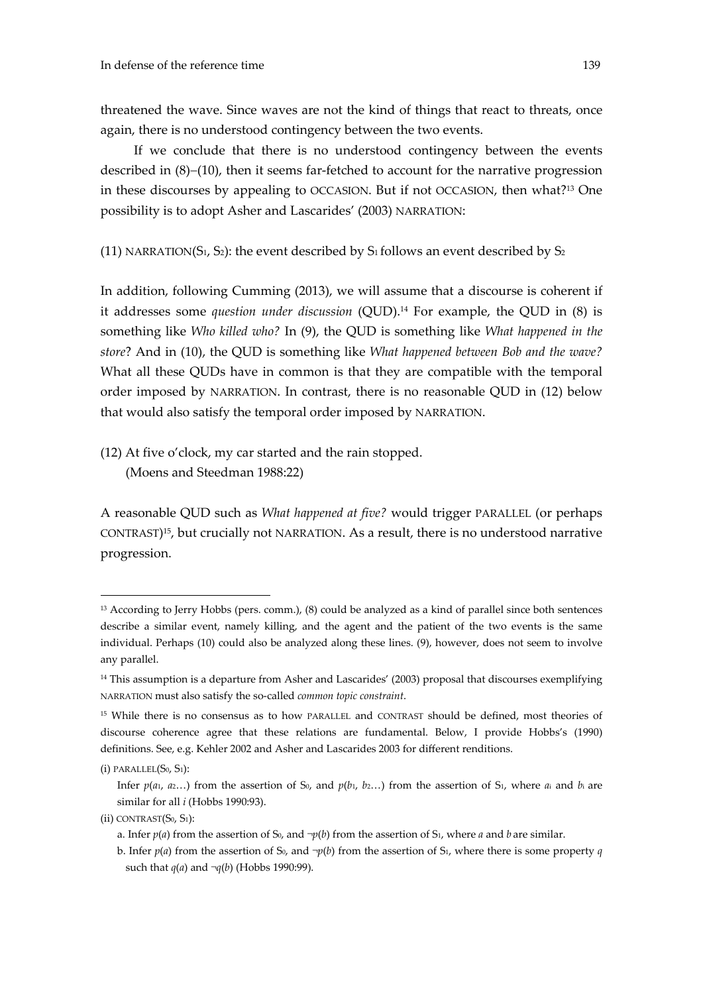If we conclude that there is no understood contingency between the events described in  $(8)-(10)$ , then it seems far-fetched to account for the narrative progression in these discourses by appealing to OCCASION. But if not OCCASION, then what?13 One possibility is to adopt Asher and Lascarides' (2003) NARRATION:

(11) NARRATION( $S_1$ ,  $S_2$ ): the event described by  $S_1$  follows an event described by  $S_2$ 

In addition, following Cumming (2013), we will assume that a discourse is coherent if it addresses some *question under discussion* (QUD).14 For example, the QUD in (8) is something like *Who killed who?* In (9), the QUD is something like *What happened in the store*? And in (10), the QUD is something like *What happened between Bob and the wave?* What all these QUDs have in common is that they are compatible with the temporal order imposed by NARRATION. In contrast, there is no reasonable QUD in (12) below that would also satisfy the temporal order imposed by NARRATION.

(12) At five o'clock, my car started and the rain stopped. (Moens and Steedman 1988:22)

A reasonable QUD such as *What happened at five?* would trigger PARALLEL (or perhaps CONTRAST)15, but crucially not NARRATION. As a result, there is no understood narrative progression.

<sup>13</sup> According to Jerry Hobbs (pers. comm.), (8) could be analyzed as a kind of parallel since both sentences describe a similar event, namely killing, and the agent and the patient of the two events is the same individual. Perhaps (10) could also be analyzed along these lines. (9), however, does not seem to involve any parallel.

 $14$  This assumption is a departure from Asher and Lascarides' (2003) proposal that discourses exemplifying NARRATION must also satisfy the so‐called *common topic constraint*.

<sup>15</sup> While there is no consensus as to how PARALLEL and CONTRAST should be defined, most theories of discourse coherence agree that these relations are fundamental. Below, I provide Hobbs's (1990) definitions. See, e.g. Kehler 2002 and Asher and Lascarides 2003 for different renditions.

 $(i)$  PARALLEL $(S_0, S_1)$ :

Infer  $p(a_1, a_2, \ldots)$  from the assertion of S<sub>0</sub>, and  $p(b_1, b_2, \ldots)$  from the assertion of S<sub>1</sub>, where  $a_i$  and  $b_i$  are similar for all *i* (Hobbs 1990:93).

 $(ii)$  CONTRAST $(S_0, S_1)$ :

a. Infer  $p(a)$  from the assertion of S<sub>0</sub>, and  $\neg p(b)$  from the assertion of S<sub>1</sub>, where *a* and *b* are similar.

b. Infer  $p(a)$  from the assertion of S<sub>0</sub>, and  $\neg p(b)$  from the assertion of S<sub>1</sub>, where there is some property *q* such that *q*(*a*) and *¬q*(*b*) (Hobbs 1990:99).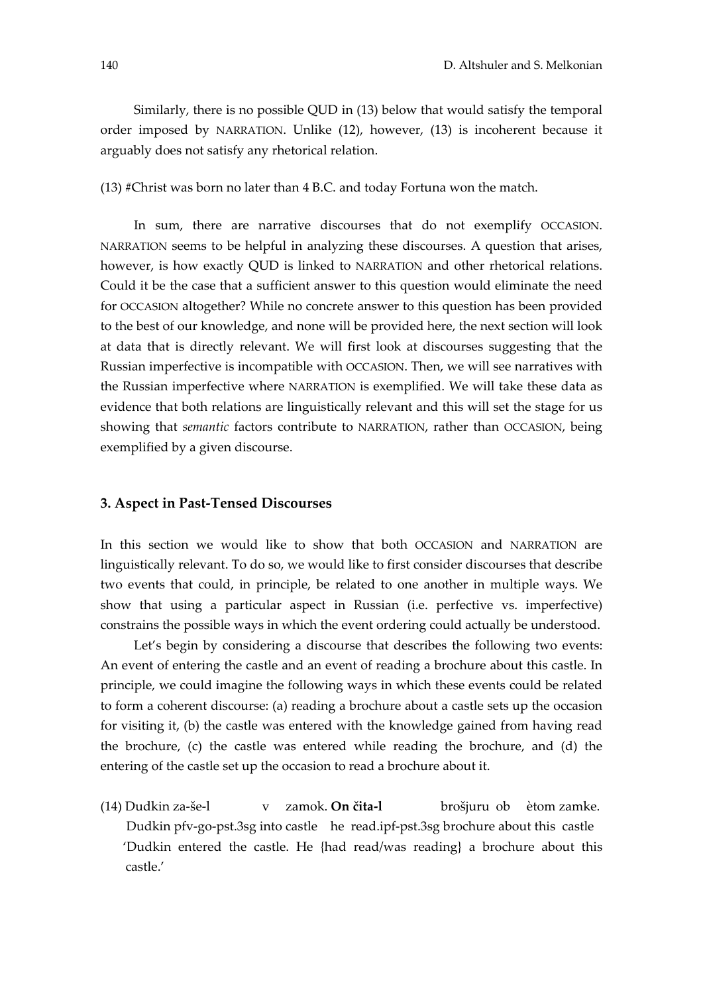Similarly, there is no possible QUD in (13) below that would satisfy the temporal order imposed by NARRATION. Unlike (12), however, (13) is incoherent because it arguably does not satisfy any rhetorical relation.

(13) #Christ was born no later than 4 B.C. and today Fortuna won the match.

In sum, there are narrative discourses that do not exemplify OCCASION. NARRATION seems to be helpful in analyzing these discourses. A question that arises, however, is how exactly QUD is linked to NARRATION and other rhetorical relations. Could it be the case that a sufficient answer to this question would eliminate the need for OCCASION altogether? While no concrete answer to this question has been provided to the best of our knowledge, and none will be provided here, the next section will look at data that is directly relevant. We will first look at discourses suggesting that the Russian imperfective is incompatible with OCCASION. Then, we will see narratives with the Russian imperfective where NARRATION is exemplified. We will take these data as evidence that both relations are linguistically relevant and this will set the stage for us showing that *semantic* factors contribute to NARRATION, rather than OCCASION, being exemplified by a given discourse.

### **3. Aspect in Past‐Tensed Discourses**

In this section we would like to show that both OCCASION and NARRATION are linguistically relevant. To do so, we would like to first consider discourses that describe two events that could, in principle, be related to one another in multiple ways. We show that using a particular aspect in Russian (i.e. perfective vs. imperfective) constrains the possible ways in which the event ordering could actually be understood.

Let's begin by considering a discourse that describes the following two events: An event of entering the castle and an event of reading a brochure about this castle. In principle, we could imagine the following ways in which these events could be related to form a coherent discourse: (a) reading a brochure about a castle sets up the occasion for visiting it, (b) the castle was entered with the knowledge gained from having read the brochure, (c) the castle was entered while reading the brochure, and (d) the entering of the castle set up the occasion to read a brochure about it.

(14) Dudkin za‐še‐l v zamok. **On čita‐l** brošjuru ob ètom zamke. Dudkin pfv‐go‐pst.3sg into castle he read.ipf‐pst.3sg brochure about this castle 'Dudkin entered the castle. He {had read/was reading} a brochure about this castle.'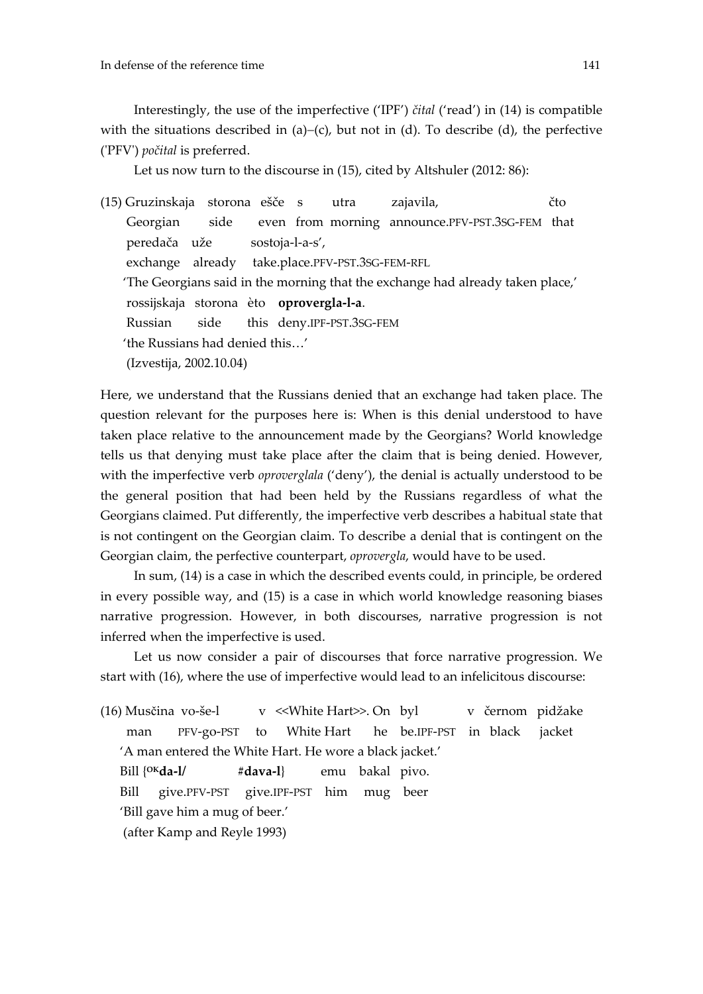Interestingly, the use of the imperfective ('IPF') *čital* ('read') in (14) is compatible with the situations described in (a)–(c), but not in (d). To describe (d), the perfective (ʹPFVʹ) *počital* is preferred.

Let us now turn to the discourse in (15), cited by Altshuler (2012: 86):

(15) Gruzinskaja storona ešče s utra zajavila, čto Georgian side even from morning announce.PFV-PST.3SG-FEM that peredača uže sostoja‐l‐a‐s', exchange already take.place.PFV‐PST.3SG‐FEM‐RFL 'The Georgians said in the morning that the exchange had already taken place,' rossijskaja storona èto **oprovergla‐l‐a**. Russian side this deny.IPF‐PST.3SG‐FEM 'the Russians had denied this…' (Izvestija, 2002.10.04)

Here, we understand that the Russians denied that an exchange had taken place. The question relevant for the purposes here is: When is this denial understood to have taken place relative to the announcement made by the Georgians? World knowledge tells us that denying must take place after the claim that is being denied. However, with the imperfective verb *oproverglala* ('deny'), the denial is actually understood to be the general position that had been held by the Russians regardless of what the Georgians claimed. Put differently, the imperfective verb describes a habitual state that is not contingent on the Georgian claim. To describe a denial that is contingent on the Georgian claim, the perfective counterpart, *oprovergla*, would have to be used.

In sum, (14) is a case in which the described events could, in principle, be ordered in every possible way, and (15) is a case in which world knowledge reasoning biases narrative progression. However, in both discourses, narrative progression is not inferred when the imperfective is used.

Let us now consider a pair of discourses that force narrative progression. We start with (16), where the use of imperfective would lead to an infelicitous discourse:

(16) Musčina vo‐še‐l v <<White Hart>>. On byl v černom pidžake man PFV‐go‐PSTto White Hart he be.IPF‐PSTin black jacket 'A man entered the White Hart. He wore a black jacket.' Bill {**OKda‐l/ #dava‐l**}  emu bakal pivo. Bill give.PFV‐PSTgive.IPF‐PSThim mug beer 'Bill gave him a mug of beer.' (after Kamp and Reyle 1993)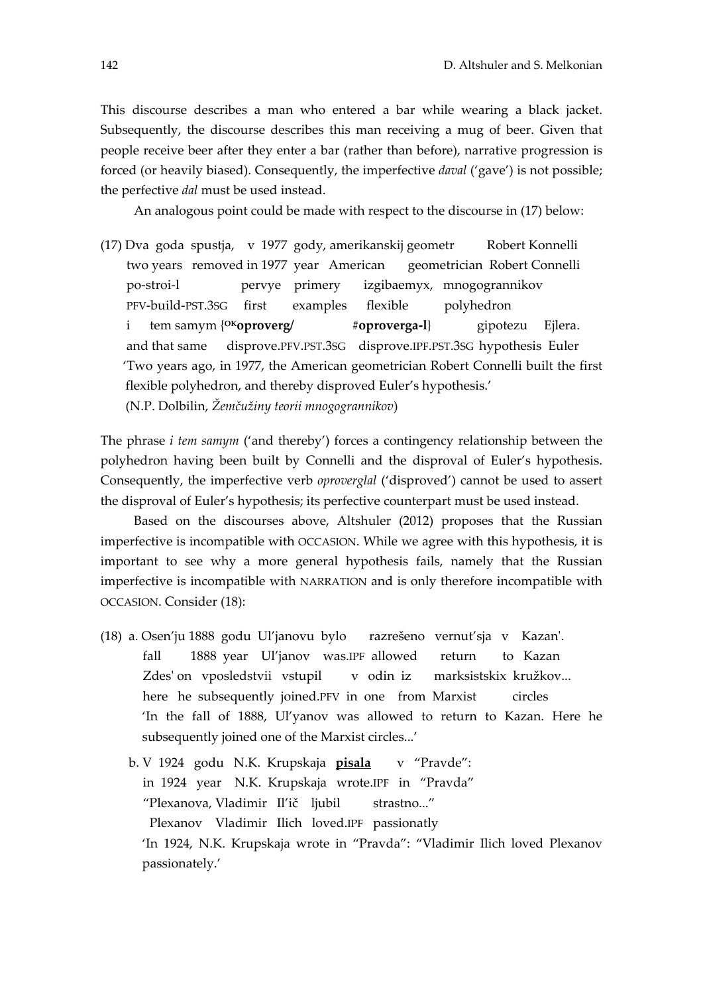This discourse describes a man who entered a bar while wearing a black jacket. Subsequently, the discourse describes this man receiving a mug of beer. Given that people receive beer after they enter a bar (rather than before), narrative progression is forced (or heavily biased). Consequently, the imperfective *daval* ('gave') is not possible; the perfective *dal* must be used instead.

An analogous point could be made with respect to the discourse in (17) below:

(17) Dva goda spustja, v 1977 gody, amerikanskij geometr Robert Konnelli two years removed in 1977 year American geometrician Robert Connelli po‐stroi‐l pervye primery izgibaemyx, mnogogrannikov PFV‐build‐PST.3SG first examples flexible polyhedron i tem samym {**OKoproverg/ #oproverga‐l**} gipotezu Ejlera. and that same disprove.PFV.PST.3SG disprove.IPF.PST.3SG hypothesis Euler 'Two years ago, in 1977, the American geometrician Robert Connelli built the first flexible polyhedron, and thereby disproved Euler's hypothesis.' (N.P. Dolbilin, *Žemčužiny teorii mnogogrannikov*)

The phrase *i tem samym* ('and thereby') forces a contingency relationship between the polyhedron having been built by Connelli and the disproval of Euler's hypothesis. Consequently, the imperfective verb *oproverglal* ('disproved') cannot be used to assert the disproval of Euler's hypothesis; its perfective counterpart must be used instead.

Based on the discourses above, Altshuler (2012) proposes that the Russian imperfective is incompatible with OCCASION. While we agree with this hypothesis, it is important to see why a more general hypothesis fails, namely that the Russian imperfective is incompatible with NARRATION and is only therefore incompatible with OCCASION. Consider (18):

- (18) a. Osen'ju 1888 godu Ul'janovu bylo razrešeno vernut'sja v Kazanʹ. fall 1888 year Ul'janov was.IPF allowed return to Kazan Zdes' on vposledstvii vstupil v odin iz marksistskix kružkov... here he subsequently joined.PFV in one from Marxist circles 'In the fall of 1888, Ul'yanov was allowed to return to Kazan. Here he subsequently joined one of the Marxist circles...'
	- b. V 1924 godu N.K. Krupskaja **pisala** v "Pravde": in 1924 year N.K. Krupskaja wrote.IPF in "Pravda" "Plexanova, Vladimir Il'ič ljubil strastno..." Plexanov Vladimir Ilich loved.IPF passionatly 'In 1924, N.K. Krupskaja wrote in "Pravda": "Vladimir Ilich loved Plexanov passionately.'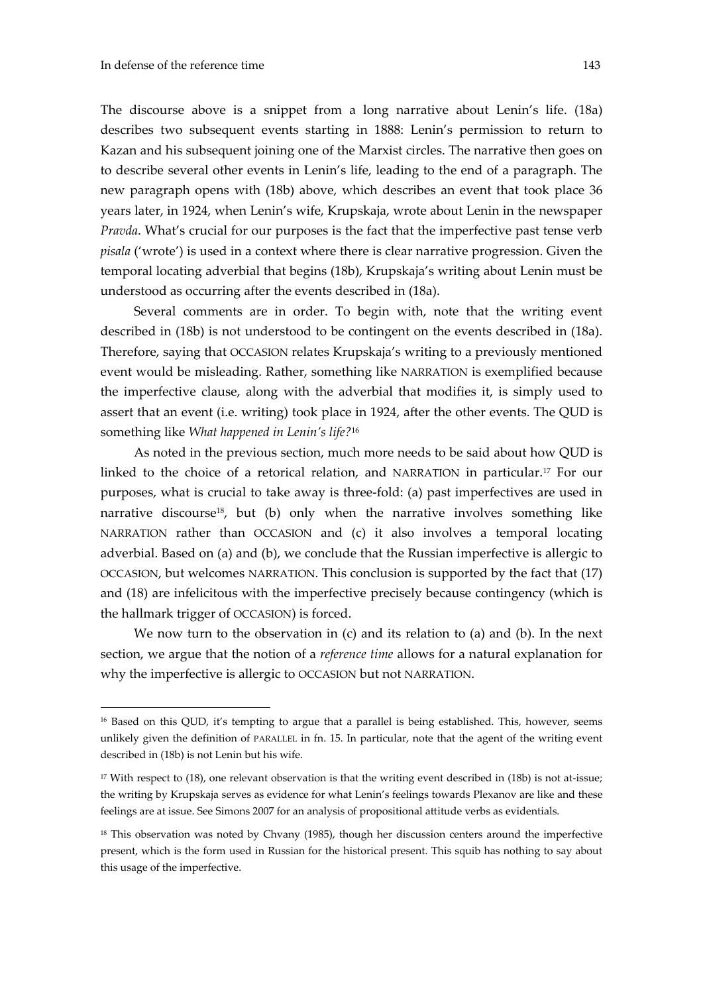<u>.</u>

The discourse above is a snippet from a long narrative about Lenin's life. (18a) describes two subsequent events starting in 1888: Lenin's permission to return to Kazan and his subsequent joining one of the Marxist circles. The narrative then goes on to describe several other events in Lenin's life, leading to the end of a paragraph. The new paragraph opens with (18b) above, which describes an event that took place 36 years later, in 1924, when Lenin's wife, Krupskaja, wrote about Lenin in the newspaper *Pravda*. What's crucial for our purposes is the fact that the imperfective past tense verb *pisala* ('wrote') is used in a context where there is clear narrative progression. Given the temporal locating adverbial that begins (18b), Krupskaja's writing about Lenin must be understood as occurring after the events described in (18a).

Several comments are in order. To begin with, note that the writing event described in (18b) is not understood to be contingent on the events described in (18a). Therefore, saying that OCCASION relates Krupskaja's writing to a previously mentioned event would be misleading. Rather, something like NARRATION is exemplified because the imperfective clause, along with the adverbial that modifies it, is simply used to assert that an event (i.e. writing) took place in 1924, after the other events. The QUD is something like *What happened in Lenin's life?*<sup>16</sup>

As noted in the previous section, much more needs to be said about how QUD is linked to the choice of a retorical relation, and NARRATION in particular.17 For our purposes, what is crucial to take away is three‐fold: (a) past imperfectives are used in narrative discourse<sup>18</sup>, but (b) only when the narrative involves something like NARRATION rather than OCCASION and (c) it also involves a temporal locating adverbial. Based on (a) and (b), we conclude that the Russian imperfective is allergic to OCCASION, but welcomes NARRATION. This conclusion is supported by the fact that (17) and (18) are infelicitous with the imperfective precisely because contingency (which is the hallmark trigger of OCCASION) is forced.

We now turn to the observation in (c) and its relation to (a) and (b). In the next section, we argue that the notion of a *reference time* allows for a natural explanation for why the imperfective is allergic to OCCASION but not NARRATION.

<sup>&</sup>lt;sup>16</sup> Based on this QUD, it's tempting to argue that a parallel is being established. This, however, seems unlikely given the definition of PARALLEL in fn. 15. In particular, note that the agent of the writing event described in (18b) is not Lenin but his wife.

 $17$  With respect to (18), one relevant observation is that the writing event described in (18b) is not at-issue; the writing by Krupskaja serves as evidence for what Lenin's feelings towards Plexanov are like and these feelings are at issue. See Simons 2007 for an analysis of propositional attitude verbs as evidentials.

 $18$  This observation was noted by Chvany (1985), though her discussion centers around the imperfective present, which is the form used in Russian for the historical present. This squib has nothing to say about this usage of the imperfective.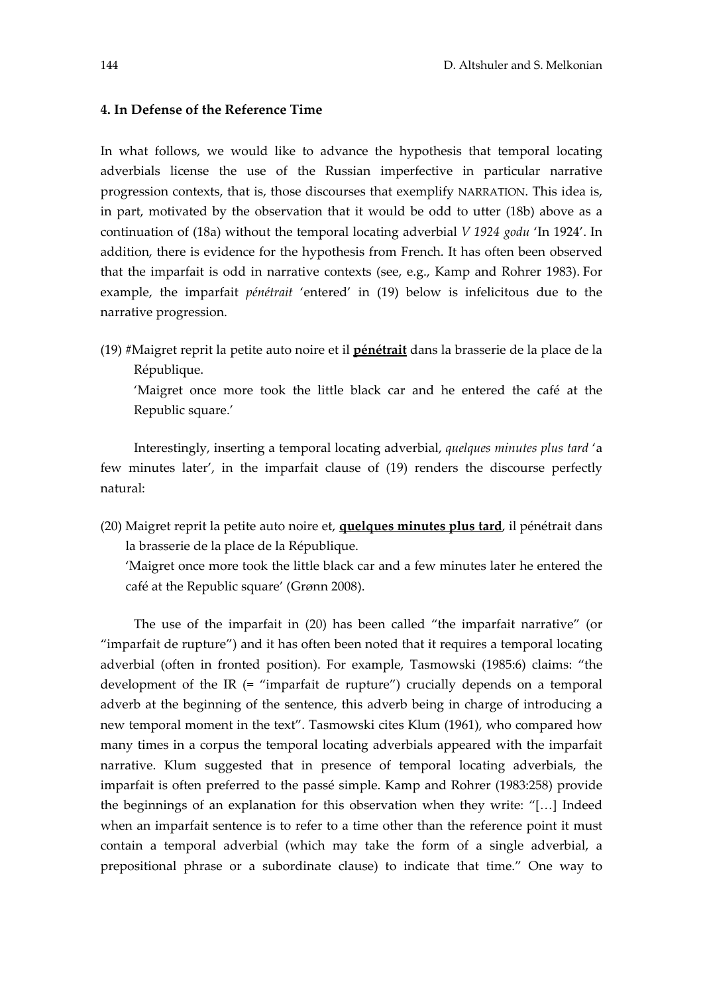#### **4. In Defense of the Reference Time**

In what follows, we would like to advance the hypothesis that temporal locating adverbials license the use of the Russian imperfective in particular narrative progression contexts, that is, those discourses that exemplify NARRATION. This idea is, in part, motivated by the observation that it would be odd to utter (18b) above as a continuation of (18a) without the temporal locating adverbial *V 1924 godu* 'In 1924'. In addition, there is evidence for the hypothesis from French. It has often been observed that the imparfait is odd in narrative contexts (see, e.g., Kamp and Rohrer 1983). For example, the imparfait *pénétrait* 'entered' in (19) below is infelicitous due to the narrative progression.

(19) #Maigret reprit la petite auto noire et il **pénétrait** dans la brasserie de la place de la République.

'Maigret once more took the little black car and he entered the café at the Republic square.'

Interestingly, inserting a temporal locating adverbial, *quelques minutes plus tard* 'a few minutes later', in the imparfait clause of (19) renders the discourse perfectly natural:

(20) Maigret reprit la petite auto noire et, **quelques minutes plus tard**, il pénétrait dans la brasserie de la place de la République.

'Maigret once more took the little black car and a few minutes later he entered the café at the Republic square' (Grønn 2008).

The use of the imparfait in (20) has been called "the imparfait narrative" (or "imparfait de rupture") and it has often been noted that it requires a temporal locating adverbial (often in fronted position). For example, Tasmowski (1985:6) claims: "the development of the IR (= "imparfait de rupture") crucially depends on a temporal adverb at the beginning of the sentence, this adverb being in charge of introducing a new temporal moment in the text". Tasmowski cites Klum (1961), who compared how many times in a corpus the temporal locating adverbials appeared with the imparfait narrative. Klum suggested that in presence of temporal locating adverbials, the imparfait is often preferred to the passé simple. Kamp and Rohrer (1983:258) provide the beginnings of an explanation for this observation when they write: "[…] Indeed when an imparfait sentence is to refer to a time other than the reference point it must contain a temporal adverbial (which may take the form of a single adverbial, a prepositional phrase or a subordinate clause) to indicate that time." One way to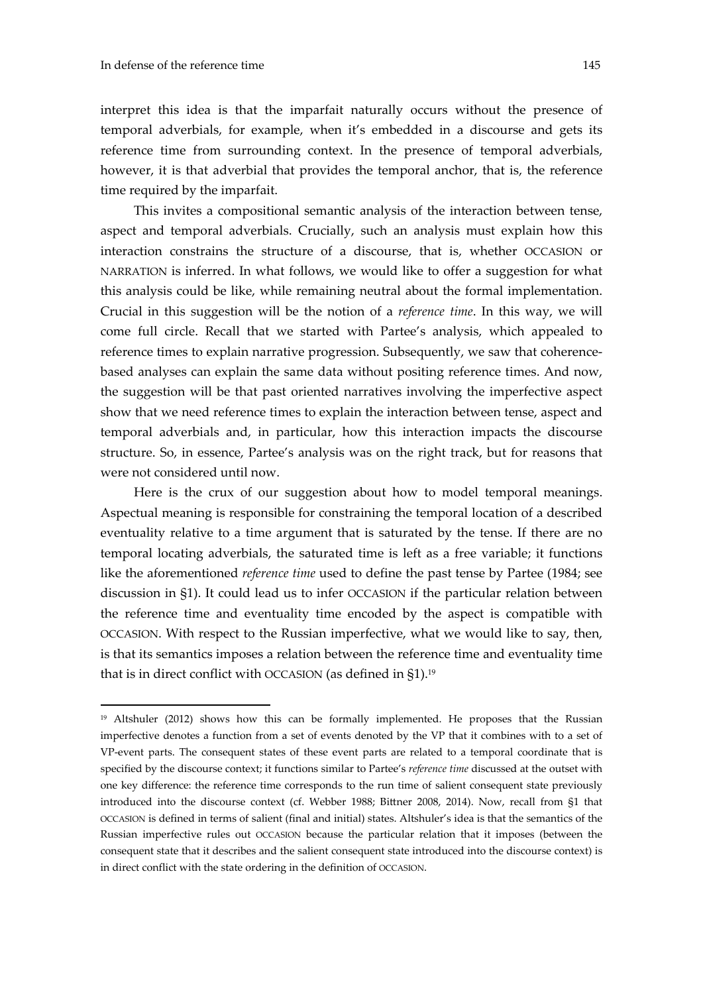1

interpret this idea is that the imparfait naturally occurs without the presence of temporal adverbials, for example, when it's embedded in a discourse and gets its reference time from surrounding context. In the presence of temporal adverbials, however, it is that adverbial that provides the temporal anchor, that is, the reference time required by the imparfait.

This invites a compositional semantic analysis of the interaction between tense, aspect and temporal adverbials. Crucially, such an analysis must explain how this interaction constrains the structure of a discourse, that is, whether OCCASION or NARRATION is inferred. In what follows, we would like to offer a suggestion for what this analysis could be like, while remaining neutral about the formal implementation. Crucial in this suggestion will be the notion of a *reference time*. In this way, we will come full circle. Recall that we started with Partee's analysis, which appealed to reference times to explain narrative progression. Subsequently, we saw that coherencebased analyses can explain the same data without positing reference times. And now, the suggestion will be that past oriented narratives involving the imperfective aspect show that we need reference times to explain the interaction between tense, aspect and temporal adverbials and, in particular, how this interaction impacts the discourse structure. So, in essence, Partee's analysis was on the right track, but for reasons that were not considered until now.

Here is the crux of our suggestion about how to model temporal meanings. Aspectual meaning is responsible for constraining the temporal location of a described eventuality relative to a time argument that is saturated by the tense. If there are no temporal locating adverbials, the saturated time is left as a free variable; it functions like the aforementioned *reference time* used to define the past tense by Partee (1984; see discussion in §1). It could lead us to infer OCCASION if the particular relation between the reference time and eventuality time encoded by the aspect is compatible with OCCASION. With respect to the Russian imperfective, what we would like to say, then, is that its semantics imposes a relation between the reference time and eventuality time that is in direct conflict with OCCASION (as defined in §1).<sup>19</sup>

<sup>&</sup>lt;sup>19</sup> Altshuler (2012) shows how this can be formally implemented. He proposes that the Russian imperfective denotes a function from a set of events denoted by the VP that it combines with to a set of VP-event parts. The consequent states of these event parts are related to a temporal coordinate that is specified by the discourse context; it functions similar to Partee's *reference time* discussed at the outset with one key difference: the reference time corresponds to the run time of salient consequent state previously introduced into the discourse context (cf. Webber 1988; Bittner 2008, 2014). Now, recall from §1 that OCCASION is defined in terms of salient (final and initial) states. Altshuler's idea is that the semantics of the Russian imperfective rules out OCCASION because the particular relation that it imposes (between the consequent state that it describes and the salient consequent state introduced into the discourse context) is in direct conflict with the state ordering in the definition of OCCASION.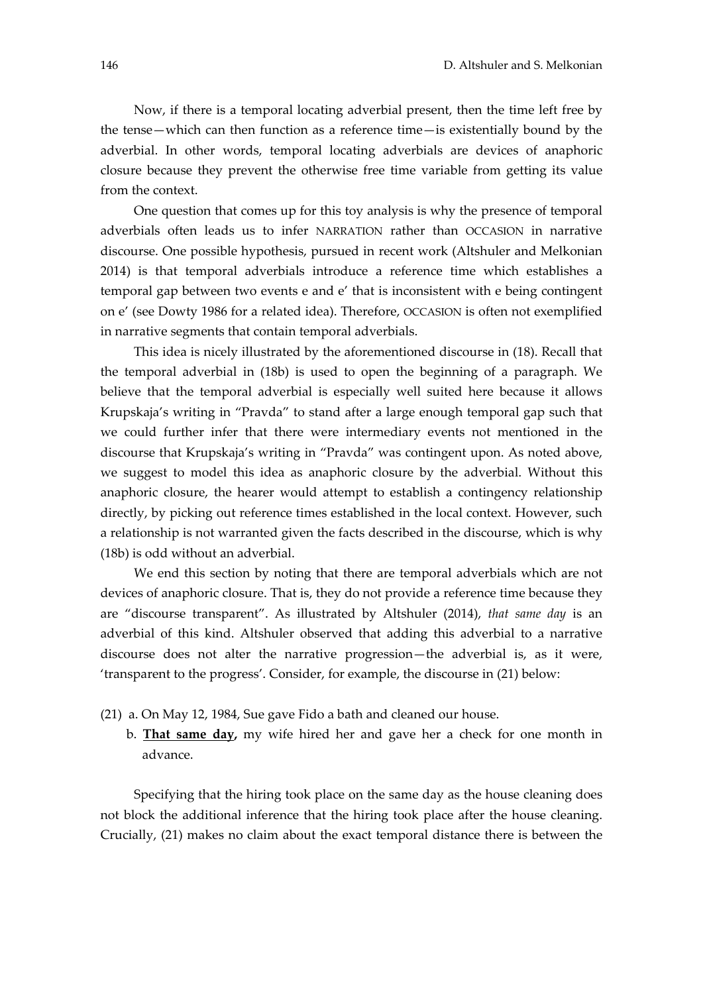Now, if there is a temporal locating adverbial present, then the time left free by the tense—which can then function as a reference time—is existentially bound by the adverbial. In other words, temporal locating adverbials are devices of anaphoric closure because they prevent the otherwise free time variable from getting its value from the context.

One question that comes up for this toy analysis is why the presence of temporal adverbials often leads us to infer NARRATION rather than OCCASION in narrative discourse. One possible hypothesis, pursued in recent work (Altshuler and Melkonian 2014) is that temporal adverbials introduce a reference time which establishes a temporal gap between two events e and e' that is inconsistent with e being contingent on e' (see Dowty 1986 for a related idea). Therefore, OCCASION is often not exemplified in narrative segments that contain temporal adverbials.

This idea is nicely illustrated by the aforementioned discourse in (18). Recall that the temporal adverbial in (18b) is used to open the beginning of a paragraph. We believe that the temporal adverbial is especially well suited here because it allows Krupskaja's writing in "Pravda" to stand after a large enough temporal gap such that we could further infer that there were intermediary events not mentioned in the discourse that Krupskaja's writing in "Pravda" was contingent upon. As noted above, we suggest to model this idea as anaphoric closure by the adverbial. Without this anaphoric closure, the hearer would attempt to establish a contingency relationship directly, by picking out reference times established in the local context. However, such a relationship is not warranted given the facts described in the discourse, which is why (18b) is odd without an adverbial.

We end this section by noting that there are temporal adverbials which are not devices of anaphoric closure. That is, they do not provide a reference time because they are "discourse transparent". As illustrated by Altshuler (2014), *that same day* is an adverbial of this kind. Altshuler observed that adding this adverbial to a narrative discourse does not alter the narrative progression—the adverbial is, as it were, 'transparent to the progress'. Consider, for example, the discourse in (21) below:

- (21) a. On May 12, 1984, Sue gave Fido a bath and cleaned our house.
	- b. **That same day,** my wife hired her and gave her a check for one month in advance.

Specifying that the hiring took place on the same day as the house cleaning does not block the additional inference that the hiring took place after the house cleaning. Crucially, (21) makes no claim about the exact temporal distance there is between the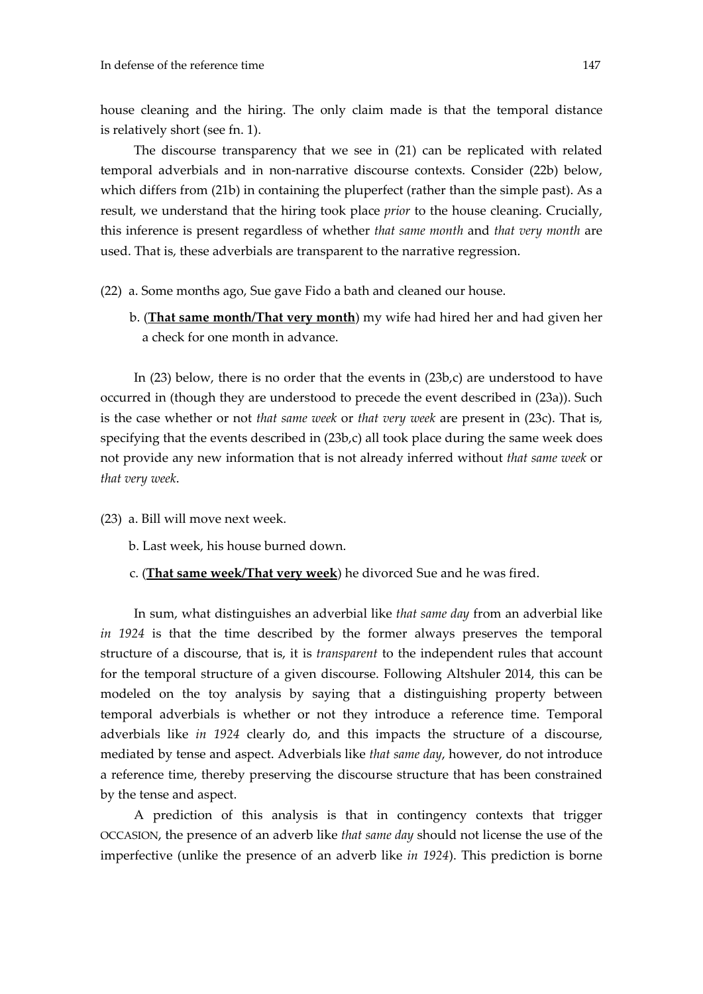house cleaning and the hiring. The only claim made is that the temporal distance is relatively short (see fn. 1).

The discourse transparency that we see in (21) can be replicated with related temporal adverbials and in non‐narrative discourse contexts. Consider (22b) below, which differs from (21b) in containing the pluperfect (rather than the simple past). As a result, we understand that the hiring took place *prior* to the house cleaning. Crucially, this inference is present regardless of whether *that same month* and *that very month* are used. That is, these adverbials are transparent to the narrative regression.

(22) a. Some months ago, Sue gave Fido a bath and cleaned our house.

 b. (**That same month/That very month**) my wife had hired her and had given her a check for one month in advance.

In (23) below, there is no order that the events in (23b,c) are understood to have occurred in (though they are understood to precede the event described in (23a)). Such is the case whether or not *that same week* or *that very week* are present in (23c). That is, specifying that the events described in (23b,c) all took place during the same week does not provide any new information that is not already inferred without *that same week* or *that very week*.

- (23) a. Bill will move next week.
	- b. Last week, his house burned down.
	- c. (**That same week/That very week**) he divorced Sue and he was fired.

In sum, what distinguishes an adverbial like *that same day* from an adverbial like *in 1924* is that the time described by the former always preserves the temporal structure of a discourse, that is, it is *transparent* to the independent rules that account for the temporal structure of a given discourse. Following Altshuler 2014, this can be modeled on the toy analysis by saying that a distinguishing property between temporal adverbials is whether or not they introduce a reference time. Temporal adverbials like *in 1924* clearly do, and this impacts the structure of a discourse, mediated by tense and aspect. Adverbials like *that same day*, however, do not introduce a reference time, thereby preserving the discourse structure that has been constrained by the tense and aspect.

A prediction of this analysis is that in contingency contexts that trigger OCCASION, the presence of an adverb like *that same day* should not license the use of the imperfective (unlike the presence of an adverb like *in 1924*). This prediction is borne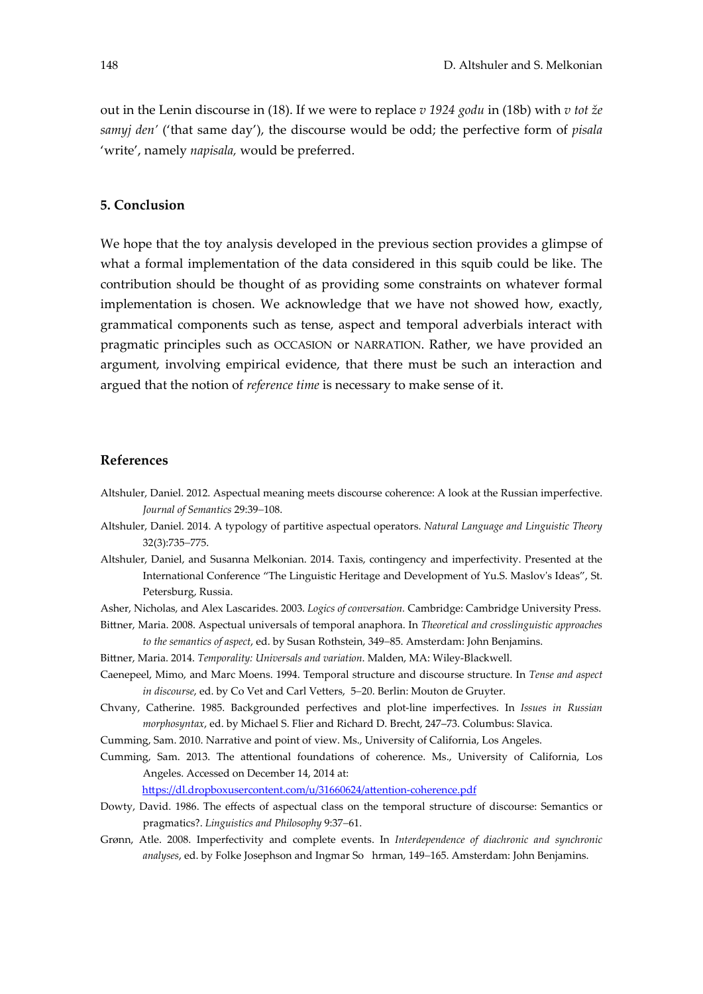out in the Lenin discourse in (18). If we were to replace *v 1924 godu* in (18b) with *v tot že samyj den'* ('that same day'), the discourse would be odd; the perfective form of *pisala* 'write', namely *napisala,* would be preferred.

## **5. Conclusion**

We hope that the toy analysis developed in the previous section provides a glimpse of what a formal implementation of the data considered in this squib could be like. The contribution should be thought of as providing some constraints on whatever formal implementation is chosen. We acknowledge that we have not showed how, exactly, grammatical components such as tense, aspect and temporal adverbials interact with pragmatic principles such as OCCASION or NARRATION. Rather, we have provided an argument, involving empirical evidence, that there must be such an interaction and argued that the notion of *reference time* is necessary to make sense of it.

## **References**

- Altshuler, Daniel. 2012. Aspectual meaning meets discourse coherence: A look at the Russian imperfective. *Journal of Semantics* 29:39-108.
- Altshuler, Daniel. 2014. A typology of partitive aspectual operators. *Natural Language and Linguistic Theory* 32(3):735-775.
- Altshuler, Daniel, and Susanna Melkonian. 2014. Taxis, contingency and imperfectivity. Presented at the International Conference "The Linguistic Heritage and Development of Yu.S. Maslovʹs Ideas", St. Petersburg, Russia.
- Asher, Nicholas, and Alex Lascarides. 2003. *Logics of conversation.* Cambridge: Cambridge University Press.
- Bittner, Maria. 2008. Aspectual universals of temporal anaphora. In *Theoretical and crosslinguistic approaches to the semantics of aspect*, ed. by Susan Rothstein, 349–85. Amsterdam: John Benjamins.
- Bittner, Maria. 2014. *Temporality: Universals and variation*. Malden, MA: Wiley‐Blackwell.
- Caenepeel, Mimo, and Marc Moens. 1994. Temporal structure and discourse structure. In *Tense and aspect in discourse*, ed. by Co Vet and Carl Vetters, 5-20. Berlin: Mouton de Gruyter.
- Chvany, Catherine. 1985. Backgrounded perfectives and plot‐line imperfectives. In *Issues in Russian morphosyntax*, ed. by Michael S. Flier and Richard D. Brecht, 247–73. Columbus: Slavica.
- Cumming, Sam. 2010. Narrative and point of view. Ms., University of California, Los Angeles.
- Cumming, Sam. 2013. The attentional foundations of coherence. Ms., University of California, Los Angeles. Accessed on December 14, 2014 at:

https://dl.dropboxusercontent.com/u/31660624/attention‐coherence.pdf

- Dowty, David. 1986. The effects of aspectual class on the temporal structure of discourse: Semantics or pragmatics?. *Linguistics and Philosophy* 9:37–61.
- Grønn, Atle. 2008. Imperfectivity and complete events. In *Interdependence of diachronic and synchronic* analyses, ed. by Folke Josephson and Ingmar So hrman, 149-165. Amsterdam: John Benjamins.